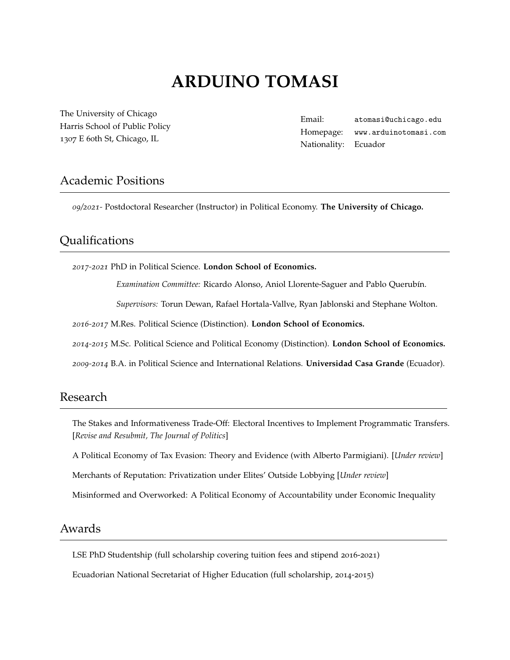# **ARDUINO TOMASI**

[The University of Chicago](https://www.uchicago.edu/) Harris School of Public Policy 1307 E 60th St, Chicago, IL

Email: [atomasi@uchicago.edu](mailto:atomasi@uchicago.edu) Homepage: [www.arduinotomasi.com](https://www.arduinotomasi.com/) Nationality: Ecuador

### Academic Positions

*09/2021-* Postdoctoral Researcher (Instructor) in Political Economy. **The University of Chicago.**

# Qualifications

*2017-2021* PhD in Political Science. **London School of Economics.**

*Examination Committee:* Ricardo Alonso, Aniol Llorente-Saguer and Pablo Querubín.

*Supervisors:* Torun Dewan, Rafael Hortala-Vallve, Ryan Jablonski and Stephane Wolton.

*2016-2017* M.Res. Political Science (Distinction). **London School of Economics.**

*2014-2015* M.Sc. Political Science and Political Economy (Distinction). **London School of Economics.**

*2009-2014* B.A. in Political Science and International Relations. **Universidad Casa Grande** (Ecuador).

#### Research

The Stakes and Informativeness Trade-Off: Electoral Incentives to Implement Programmatic Transfers. [*Revise and Resubmit, The Journal of Politics*]

A Political Economy of Tax Evasion: Theory and Evidence (with Alberto Parmigiani). [*Under review*]

Merchants of Reputation: Privatization under Elites' Outside Lobbying [*Under review*]

Misinformed and Overworked: A Political Economy of Accountability under Economic Inequality

# Awards

LSE PhD Studentship (full scholarship covering tuition fees and stipend 2016-2021)

Ecuadorian National Secretariat of Higher Education (full scholarship, 2014-2015)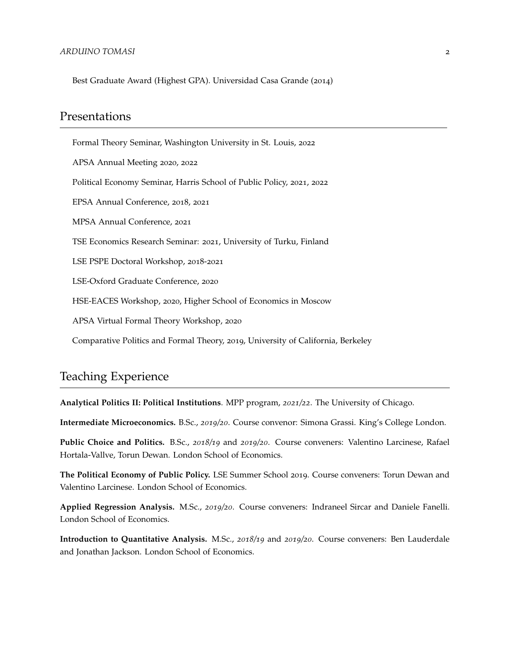Best Graduate Award (Highest GPA). Universidad Casa Grande (2014)

#### Presentations

Formal Theory Seminar, Washington University in St. Louis, 2022 APSA Annual Meeting 2020, 2022 Political Economy Seminar, Harris School of Public Policy, 2021, 2022 EPSA Annual Conference, 2018, 2021 MPSA Annual Conference, 2021 TSE Economics Research Seminar: 2021, University of Turku, Finland LSE PSPE Doctoral Workshop, 2018-2021 LSE-Oxford Graduate Conference, 2020 HSE-EACES Workshop, 2020, Higher School of Economics in Moscow APSA Virtual Formal Theory Workshop, 2020 Comparative Politics and Formal Theory, 2019, University of California, Berkeley

### Teaching Experience

**Analytical Politics II: Political Institutions**. MPP program, *2021/22*. The University of Chicago.

**Intermediate Microeconomics.** B.Sc., *2019/20*. Course convenor: Simona Grassi. King's College London.

**Public Choice and Politics.** B.Sc., *2018/19* and *2019/20*. Course conveners: Valentino Larcinese, Rafael Hortala-Vallve, Torun Dewan. London School of Economics.

**The Political Economy of Public Policy.** LSE Summer School 2019. Course conveners: Torun Dewan and Valentino Larcinese. London School of Economics.

**Applied Regression Analysis.** M.Sc., *2019/20*. Course conveners: Indraneel Sircar and Daniele Fanelli. London School of Economics.

**Introduction to Quantitative Analysis.** M.Sc., *2018/19* and *2019/20*. Course conveners: Ben Lauderdale and Jonathan Jackson. London School of Economics.